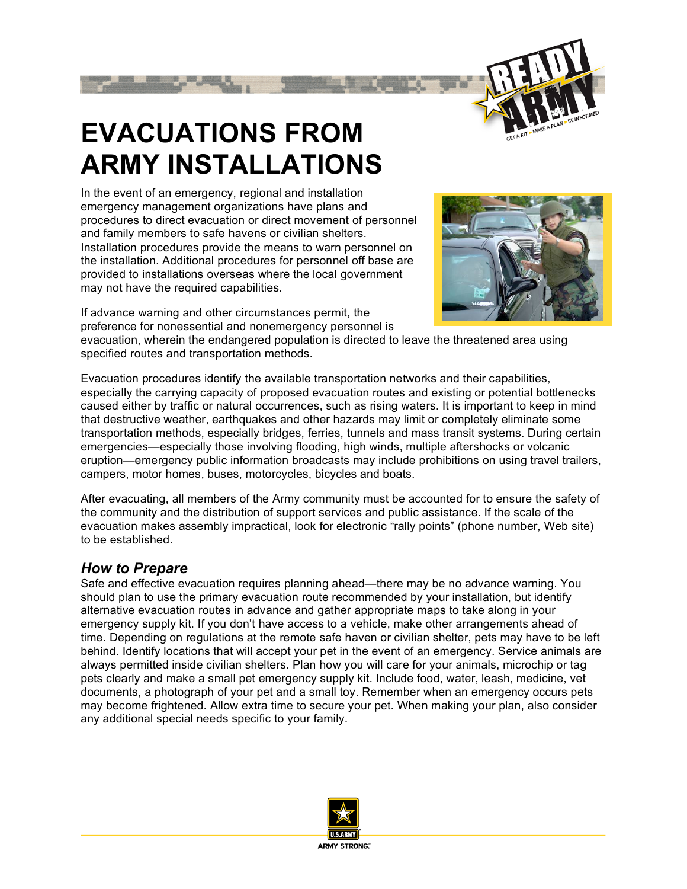

## **EVACUATIONS FROM ARMY INSTALLATIONS**

In the event of an emergency, regional and installation emergency management organizations have plans and procedures to direct evacuation or direct movement of personnel and family members to safe havens or civilian shelters. Installation procedures provide the means to warn personnel on the installation. Additional procedures for personnel off base are provided to installations overseas where the local government may not have the required capabilities.

If advance warning and other circumstances permit, the preference for nonessential and nonemergency personnel is



evacuation, wherein the endangered population is directed to leave the threatened area using specified routes and transportation methods.

Evacuation procedures identify the available transportation networks and their capabilities, especially the carrying capacity of proposed evacuation routes and existing or potential bottlenecks caused either by traffic or natural occurrences, such as rising waters. It is important to keep in mind that destructive weather, earthquakes and other hazards may limit or completely eliminate some transportation methods, especially bridges, ferries, tunnels and mass transit systems. During certain emergencies—especially those involving flooding, high winds, multiple aftershocks or volcanic eruption—emergency public information broadcasts may include prohibitions on using travel trailers, campers, motor homes, buses, motorcycles, bicycles and boats.

After evacuating, all members of the Army community must be accounted for to ensure the safety of the community and the distribution of support services and public assistance. If the scale of the evacuation makes assembly impractical, look for electronic "rally points" (phone number, Web site) to be established.

## *How to Prepare*

Safe and effective evacuation requires planning ahead—there may be no advance warning. You should plan to use the primary evacuation route recommended by your installation, but identify alternative evacuation routes in advance and gather appropriate maps to take along in your emergency supply kit. If you don't have access to a vehicle, make other arrangements ahead of time. Depending on regulations at the remote safe haven or civilian shelter, pets may have to be left behind. Identify locations that will accept your pet in the event of an emergency. Service animals are always permitted inside civilian shelters. Plan how you will care for your animals, microchip or tag pets clearly and make a small pet emergency supply kit. Include food, water, leash, medicine, vet documents, a photograph of your pet and a small toy. Remember when an emergency occurs pets may become frightened. Allow extra time to secure your pet. When making your plan, also consider any additional special needs specific to your family.